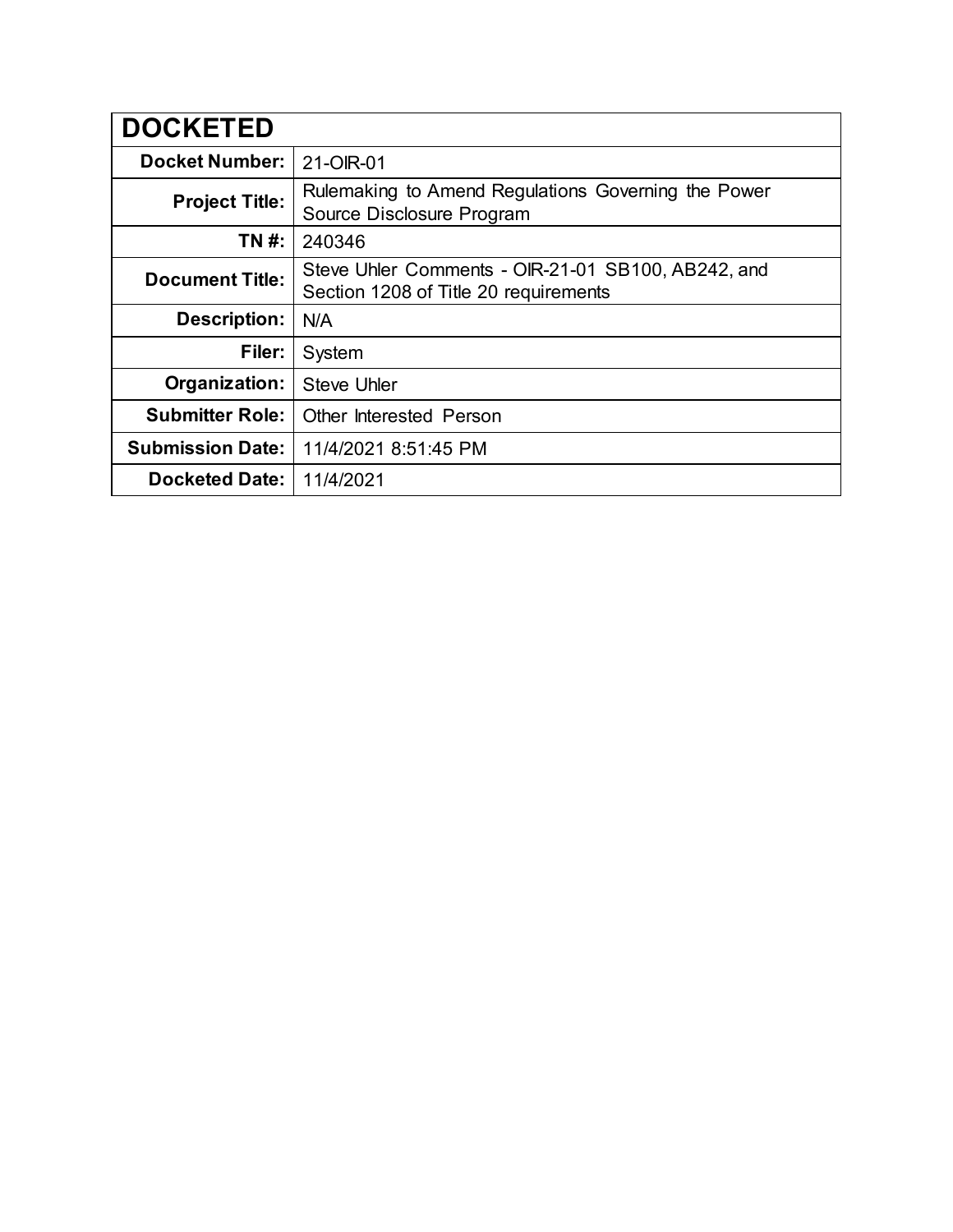| <b>DOCKETED</b>         |                                                                                             |
|-------------------------|---------------------------------------------------------------------------------------------|
| <b>Docket Number:</b>   | 21-OIR-01                                                                                   |
| <b>Project Title:</b>   | Rulemaking to Amend Regulations Governing the Power<br>Source Disclosure Program            |
| TN #:                   | 240346                                                                                      |
| <b>Document Title:</b>  | Steve Uhler Comments - OIR-21-01 SB100, AB242, and<br>Section 1208 of Title 20 requirements |
| <b>Description:</b>     | N/A                                                                                         |
| Filer:                  | System                                                                                      |
| Organization:           | <b>Steve Uhler</b>                                                                          |
| <b>Submitter Role:</b>  | <b>Other Interested Person</b>                                                              |
| <b>Submission Date:</b> | 11/4/2021 8:51:45 PM                                                                        |
| <b>Docketed Date:</b>   | 11/4/2021                                                                                   |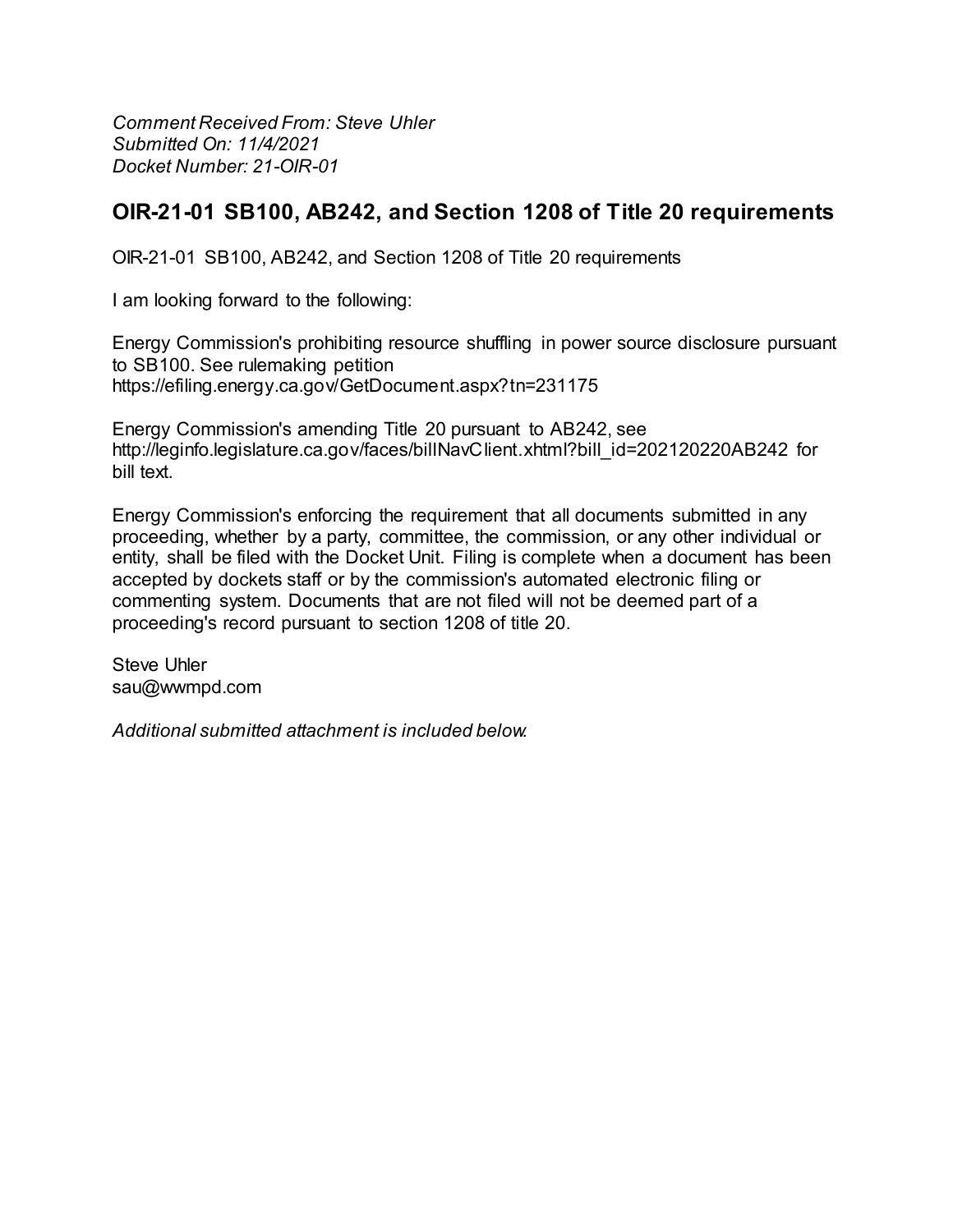**Comment Received From: Steve Uhler** Submitted On: 11/4/2021 Docket Number: 21-OIR-01

## OIR-21-01 SB100, AB242, and Section 1208 of Title 20 requirements

OIR-21-01 SB100, AB242, and Section 1208 of Title 20 requirements

I am looking forward to the following:

Energy Commission's prohibiting resource shuffling in power source disclosure pursuant to SB100. See rulemaking petition https://efiling.energy.ca.gov/GetDocument.aspx?tn=231175

Energy Commission's amending Title 20 pursuant to AB242, see http://leginfo.legislature.ca.gov/faces/billNavClient.xhtml?bill\_id=202120220AB242\_for bill text.

Energy Commission's enforcing the requirement that all documents submitted in any proceeding, whether by a party, committee, the commission, or any other individual or entity, shall be filed with the Docket Unit. Filing is complete when a document has been accepted by dockets staff or by the commission's automated electronic filing or commenting system. Documents that are not filed will not be deemed part of a proceeding's record pursuant to section 1208 of title 20.

Steve Uhler sau@wwmpd.com

Additional submitted attachment is included below.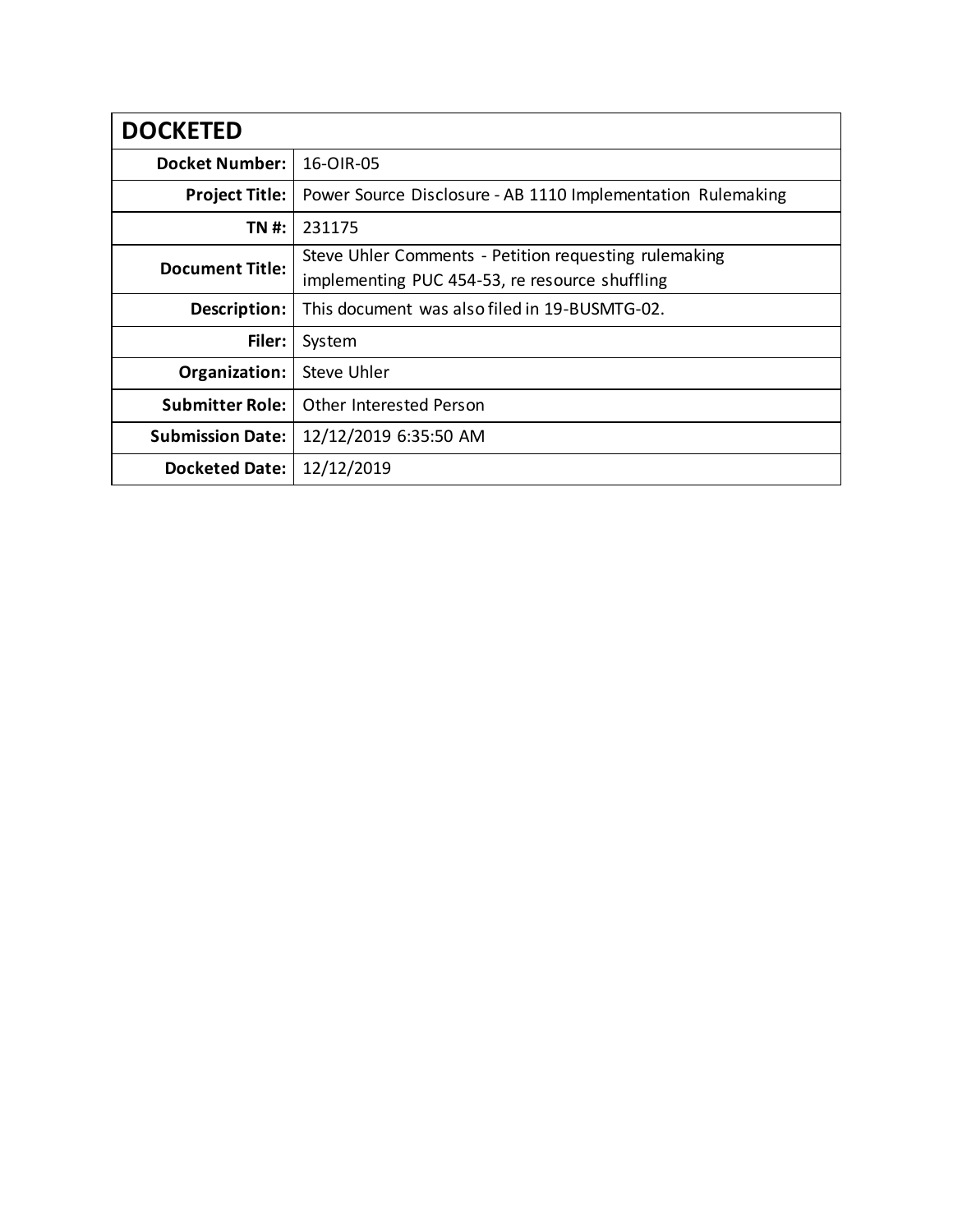| <b>DOCKETED</b>         |                                                                                                         |
|-------------------------|---------------------------------------------------------------------------------------------------------|
| <b>Docket Number:</b>   | 16-OIR-05                                                                                               |
| <b>Project Title:</b>   | Power Source Disclosure - AB 1110 Implementation Rulemaking                                             |
| TN #:                   | 231175                                                                                                  |
| <b>Document Title:</b>  | Steve Uhler Comments - Petition requesting rulemaking<br>implementing PUC 454-53, re resource shuffling |
| Description:            | This document was also filed in 19-BUSMTG-02.                                                           |
| Filer:                  | System                                                                                                  |
| Organization:           | Steve Uhler                                                                                             |
| <b>Submitter Role:</b>  | Other Interested Person                                                                                 |
| <b>Submission Date:</b> | 12/12/2019 6:35:50 AM                                                                                   |
| <b>Docketed Date:</b>   | 12/12/2019                                                                                              |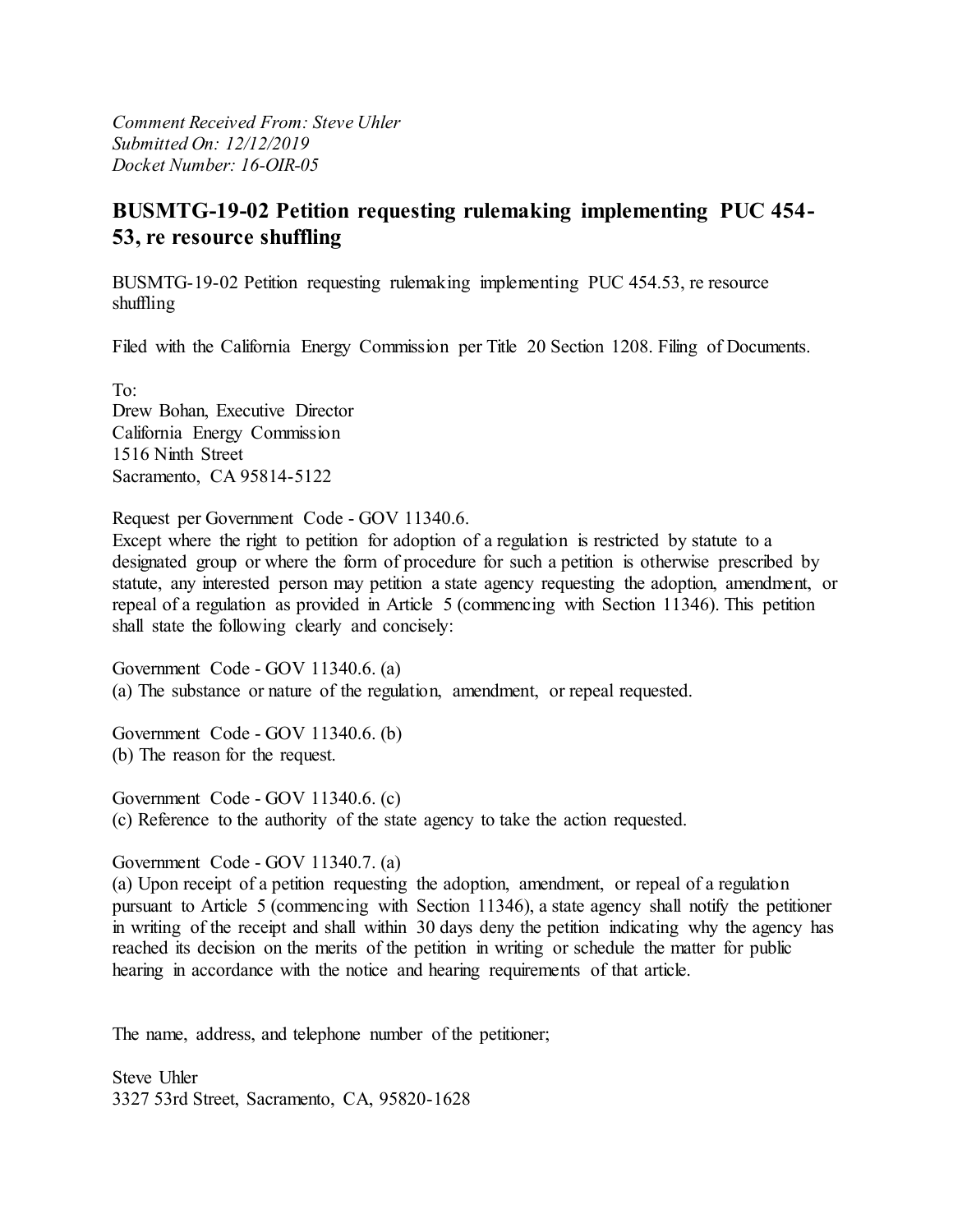*Comment Received From: Steve Uhler Submitted On: 12/12/2019 Docket Number: 16-OIR-05*

## **BUSMTG-19-02 Petition requesting rulemaking implementing PUC 454- 53, re resource shuffling**

BUSMTG-19-02 Petition requesting rulemaking implementing PUC 454.53, re resource shuffling

Filed with the California Energy Commission per Title 20 Section 1208. Filing of Documents.

To: Drew Bohan, Executive Director California Energy Commission 1516 Ninth Street Sacramento, CA 95814-5122

Request per Government Code - GOV 11340.6.

Except where the right to petition for adoption of a regulation is restricted by statute to a designated group or where the form of procedure for such a petition is otherwise prescribed by statute, any interested person may petition a state agency requesting the adoption, amendment, or repeal of a regulation as provided in Article 5 (commencing with Section 11346). This petition shall state the following clearly and concisely:

Government Code - GOV 11340.6. (a) (a) The substance or nature of the regulation, amendment, or repeal requested.

Government Code - GOV 11340.6. (b) (b) The reason for the request.

Government Code - GOV 11340.6. (c) (c) Reference to the authority of the state agency to take the action requested.

Government Code - GOV 11340.7. (a)

(a) Upon receipt of a petition requesting the adoption, amendment, or repeal of a regulation pursuant to Article 5 (commencing with Section 11346), a state agency shall notify the petitioner in writing of the receipt and shall within 30 days deny the petition indicating why the agency has reached its decision on the merits of the petition in writing or schedule the matter for public hearing in accordance with the notice and hearing requirements of that article.

The name, address, and telephone number of the petitioner;

Steve Uhler 3327 53rd Street, Sacramento, CA, 95820-1628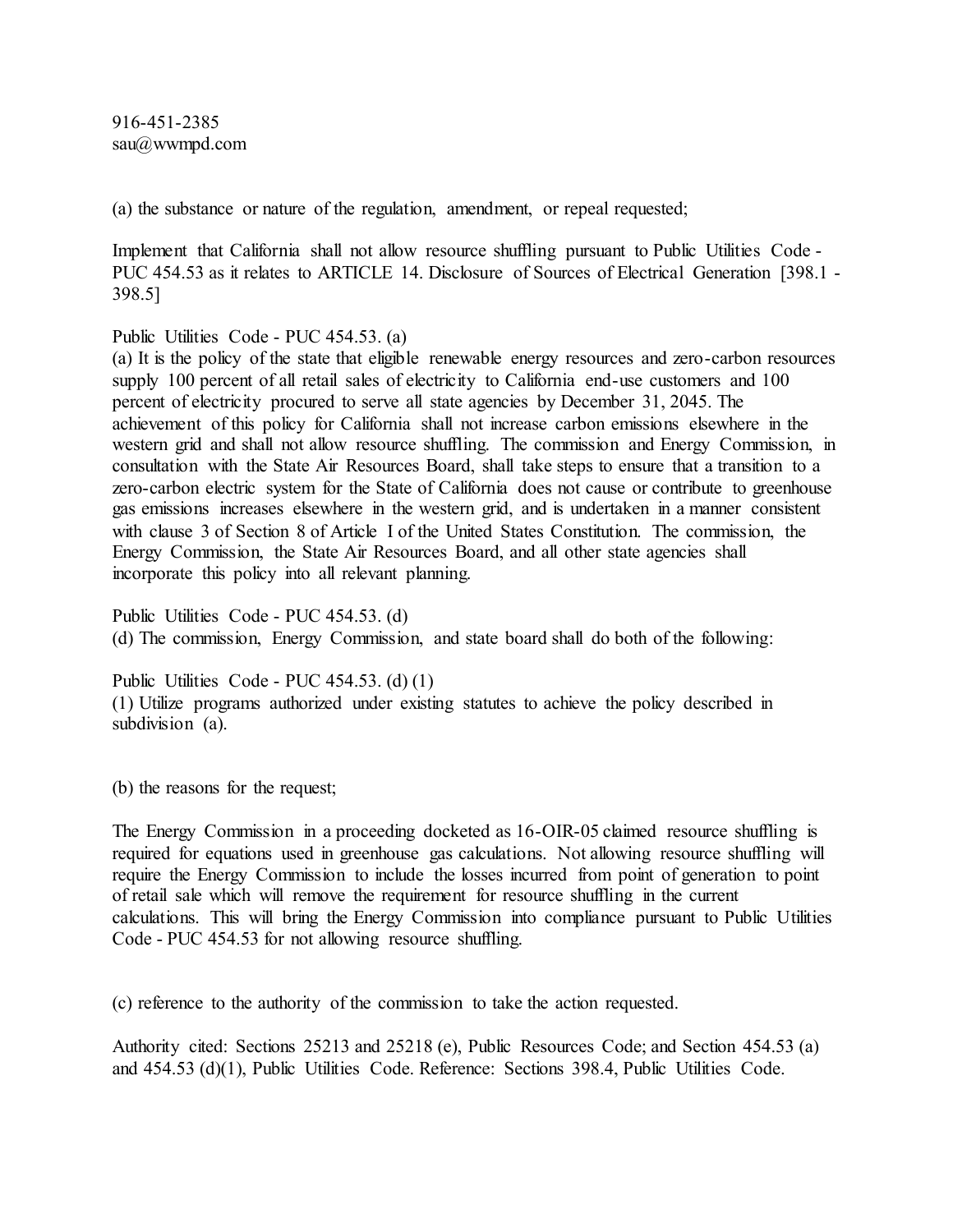916-451-2385 sau@wwmpd.com

(a) the substance or nature of the regulation, amendment, or repeal requested;

Implement that California shall not allow resource shuffling pursuant to Public Utilities Code - PUC 454.53 as it relates to ARTICLE 14. Disclosure of Sources of Electrical Generation [398.1 - 398.5]

Public Utilities Code - PUC 454.53. (a)

(a) It is the policy of the state that eligible renewable energy resources and zero-carbon resources supply 100 percent of all retail sales of electricity to California end-use customers and 100 percent of electricity procured to serve all state agencies by December 31, 2045. The achievement of this policy for California shall not increase carbon emissions elsewhere in the western grid and shall not allow resource shuffling. The commission and Energy Commission, in consultation with the State Air Resources Board, shall take steps to ensure that a transition to a zero-carbon electric system for the State of California does not cause or contribute to greenhouse gas emissions increases elsewhere in the western grid, and is undertaken in a manner consistent with clause 3 of Section 8 of Article I of the United States Constitution. The commission, the Energy Commission, the State Air Resources Board, and all other state agencies shall incorporate this policy into all relevant planning.

Public Utilities Code - PUC 454.53. (d) (d) The commission, Energy Commission, and state board shall do both of the following:

Public Utilities Code - PUC 454.53. (d) (1) (1) Utilize programs authorized under existing statutes to achieve the policy described in subdivision (a).

(b) the reasons for the request;

The Energy Commission in a proceeding docketed as 16-OIR-05 claimed resource shuffling is required for equations used in greenhouse gas calculations. Not allowing resource shuffling will require the Energy Commission to include the losses incurred from point of generation to point of retail sale which will remove the requirement for resource shuffling in the current calculations. This will bring the Energy Commission into compliance pursuant to Public Utilities Code - PUC 454.53 for not allowing resource shuffling.

(c) reference to the authority of the commission to take the action requested.

Authority cited: Sections 25213 and 25218 (e), Public Resources Code; and Section 454.53 (a) and 454.53 (d)(1), Public Utilities Code. Reference: Sections 398.4, Public Utilities Code.